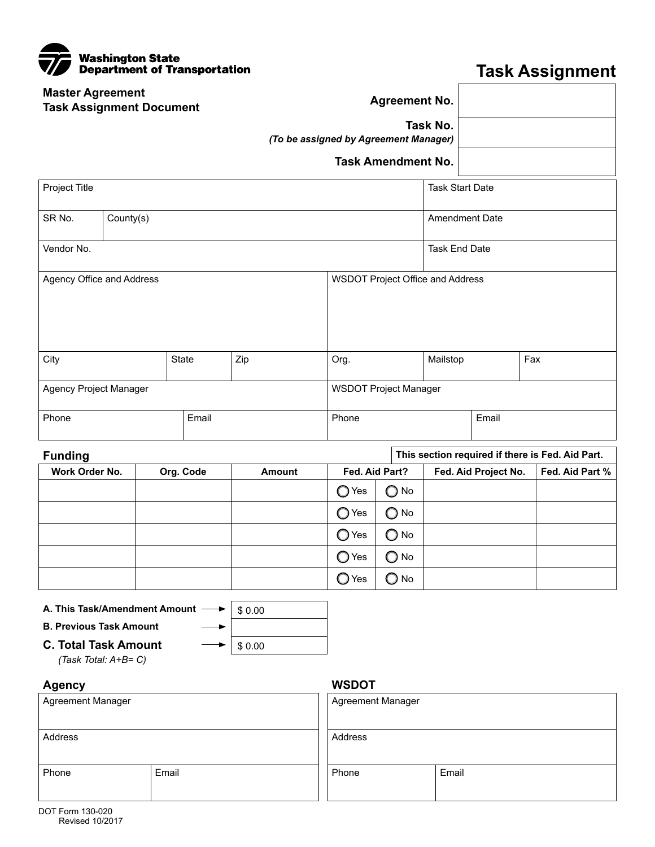| Washington State<br>Department of Transportation<br>$\overline{\mathbf{v}}$ |                                                   |
|-----------------------------------------------------------------------------|---------------------------------------------------|
| <b>Master Agreement</b><br><b>Task Assignment Document</b>                  | <b>Agreement No.</b>                              |
|                                                                             | Task No.<br>(To be assigned by Agreement Manager) |
|                                                                             | <b>Task Amendment No.</b>                         |
| <b>Project Title</b>                                                        | Task S                                            |

## **Task Assignment**

|                                                   | <b>Task Assignment Document</b>                                                      |           |                  |                |                              |                                  |                      |                                                  |
|---------------------------------------------------|--------------------------------------------------------------------------------------|-----------|------------------|----------------|------------------------------|----------------------------------|----------------------|--------------------------------------------------|
| Task No.<br>(To be assigned by Agreement Manager) |                                                                                      |           |                  |                |                              |                                  |                      |                                                  |
|                                                   |                                                                                      |           |                  |                | <b>Task Amendment No.</b>    |                                  |                      |                                                  |
| Project Title                                     |                                                                                      |           |                  |                |                              | <b>Task Start Date</b>           |                      |                                                  |
| SR No.                                            | County(s)                                                                            |           |                  |                | <b>Amendment Date</b>        |                                  |                      |                                                  |
| Vendor No.                                        |                                                                                      |           |                  |                |                              | <b>Task End Date</b>             |                      |                                                  |
| Agency Office and Address                         |                                                                                      |           |                  |                |                              | WSDOT Project Office and Address |                      |                                                  |
| City                                              |                                                                                      | State     | Zip              | Org.           |                              | Mailstop                         |                      | Fax                                              |
| Agency Project Manager                            |                                                                                      |           |                  |                | <b>WSDOT Project Manager</b> |                                  |                      |                                                  |
| Phone                                             |                                                                                      | Email     |                  | Phone          |                              |                                  | Email                |                                                  |
| <b>Funding</b>                                    |                                                                                      |           |                  |                |                              |                                  |                      | This section required if there is Fed. Aid Part. |
| Work Order No.                                    |                                                                                      | Org. Code | Amount           |                | Fed. Aid Part?               |                                  | Fed. Aid Project No. | Fed. Aid Part %                                  |
|                                                   |                                                                                      |           |                  | $\bigcirc$ Yes | $\bigcirc$ No                |                                  |                      |                                                  |
|                                                   |                                                                                      |           |                  | $\bigcirc$ Yes | $\bigcirc$ No                |                                  |                      |                                                  |
|                                                   |                                                                                      |           |                  | $\bigcirc$ Yes | $\bigcirc$ No                |                                  |                      |                                                  |
|                                                   |                                                                                      |           |                  | $\bigcirc$ Yes | $\bigcirc$ No                |                                  |                      |                                                  |
|                                                   |                                                                                      |           |                  | $\bigcirc$ Yes | $\bigcirc$ No                |                                  |                      |                                                  |
| <b>B. Previous Task Amount</b>                    | A. This Task/Amendment Amount<br><b>C. Total Task Amount</b><br>(Task Total: A+B= C) |           | \$0.00<br>\$0.00 |                |                              |                                  |                      |                                                  |
| <b>Agency</b>                                     |                                                                                      |           |                  | <b>WSDOT</b>   |                              |                                  |                      |                                                  |
| Agreement Manager                                 |                                                                                      |           |                  |                | Agreement Manager            |                                  |                      |                                                  |
| Address                                           |                                                                                      |           |                  | Address        |                              |                                  |                      |                                                  |

Phone Email

Phone Email